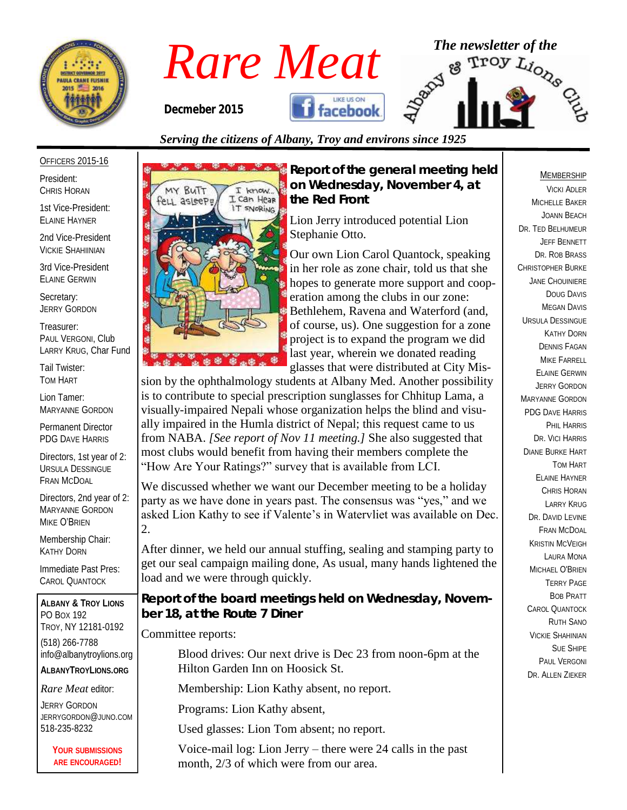



# *Serving the citizens of Albany, Troy and environs since 1925*

#### OFFICERS 2015-16

President: CHRIS HORAN

1st Vice-President: ELAINE HAYNER

2nd Vice-President VICKIE SHAHIINIAN

3rd Vice-President ELAINE GERWIN

Secretary: JERRY GORDON

Treasurer: PAUL VERGONI, Club LARRY KRUG, Char Fund

Tail Twister: TOM HART

Lion Tamer: MARYANNE GORDON

Permanent Director PDG DAVE HARRIS

Directors, 1st year of 2: URSULA DESSINGUE FRAN MCDOAL

Directors, 2nd year of 2: MARYANNE GORDON MIKE O'BRIEN

Membership Chair: KATHY DORN

Immediate Past Pres: CAROL QUANTOCK

**ALBANY & TROY LIONS** PO BOX 192 TROY, NY 12181-0192 (518) 266-7788 info@albanytroylions.org **ALBANYTROYLIONS.ORG**

*Rare Meat* editor:

JERRY GORDON JERRYGORDON@JUNO.COM 518-235-8232

> **YOUR SUBMISSIONS ARE ENCOURAGED!**



*Report of the general meeting held on Wednesday, November 4, at the Red Front* 

> Lion Jerry introduced potential Lion Stephanie Otto.

Our own Lion Carol Quantock, speaking in her role as zone chair, told us that she hopes to generate more support and cooperation among the clubs in our zone: Bethlehem, Ravena and Waterford (and, of course, us). One suggestion for a zone project is to expand the program we did last year, wherein we donated reading glasses that were distributed at City Mis-

sion by the ophthalmology students at Albany Med. Another possibility is to contribute to special prescription sunglasses for Chhitup Lama, a visually-impaired Nepali whose organization helps the blind and visually impaired in the Humla district of Nepal; this request came to us from NABA. *[See report of Nov 11 meeting.]* She also suggested that most clubs would benefit from having their members complete the "How Are Your Ratings?" survey that is available from LCI.

We discussed whether we want our December meeting to be a holiday party as we have done in years past. The consensus was "yes," and we asked Lion Kathy to see if Valente's in Watervliet was available on Dec. 2.

After dinner, we held our annual stuffing, sealing and stamping party to get our seal campaign mailing done, As usual, many hands lightened the load and we were through quickly.

*Report of the board meetings held on Wednesday, November 18, at the Route 7 Diner* 

#### Committee reports:

Blood drives: Our next drive is Dec 23 from noon-6pm at the Hilton Garden Inn on Hoosick St.

Membership: Lion Kathy absent, no report.

Programs: Lion Kathy absent,

Used glasses: Lion Tom absent; no report.

Voice-mail log: Lion Jerry – there were 24 calls in the past month, 2/3 of which were from our area.

#### MEMBERSHIP

VICKI ADLER MICHELLE BAKER JOANN BEACH DR. TED BELHUMEUR JEFF BENNETT DR. ROB BRASS CHRISTOPHER BURKE JANE CHOUINIERE DOUG DAVIS MEGAN DAVIS URSULA DESSINGUE KATHY DORN DENNIS FAGAN MIKE FARRELL ELAINE GERWIN JERRY GORDON MARYANNE GORDON PDG DAVE HARRIS PHIL HARRIS DR. VICI HARRIS DIANE BURKE HART TOM HART ELAINE HAYNER CHRIS HORAN LARRY KRUG DR. DAVID EVINE FRAN MCDOAL KRISTIN MCVEIGH LAURA MONA MICHAEL O'BRIEN TERRY PAGE BOB PRATT CAROL QUANTOCK RUTH SANO VICKIE SHAHINIAN SUE SHIPE PAUL VERGONI DR. ALLEN ZIEKER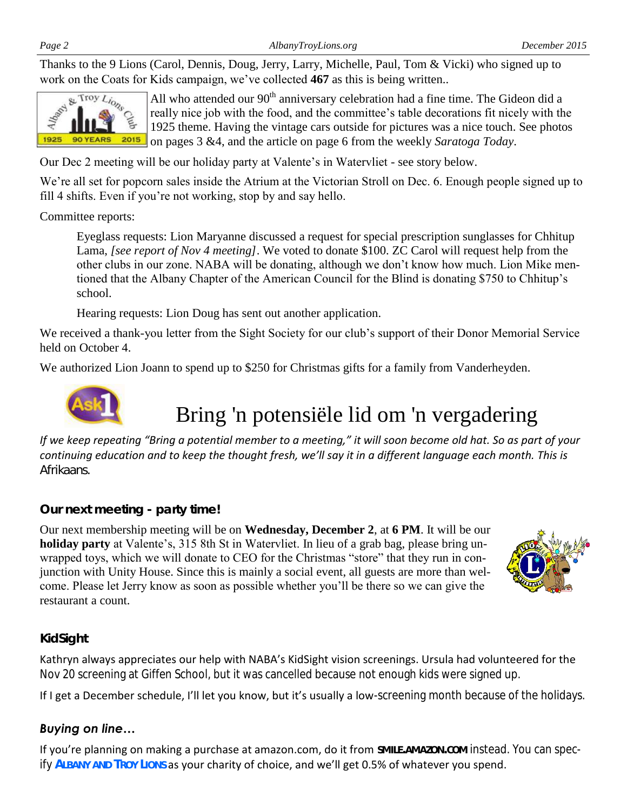Thanks to the 9 Lions (Carol, Dennis, Doug, Jerry, Larry, Michelle, Paul, Tom & Vicki) who signed up to work on the Coats for Kids campaign, we've collected **467** as this is being written..



All who attended our  $90<sup>th</sup>$  anniversary celebration had a fine time. The Gideon did a really nice job with the food, and the committee's table decorations fit nicely with the 1925 theme. Having the vintage cars outside for pictures was a nice touch. See photos on pages 3 &4, and the article on page 6 from the weekly *Saratoga Today*.

Our Dec 2 meeting will be our holiday party at Valente's in Watervliet - see story below.

We're all set for popcorn sales inside the Atrium at the Victorian Stroll on Dec. 6. Enough people signed up to fill 4 shifts. Even if you're not working, stop by and say hello.

Committee reports:

Eyeglass requests: Lion Maryanne discussed a request for special prescription sunglasses for Chhitup Lama, *[see report of Nov 4 meeting]*. We voted to donate \$100. ZC Carol will request help from the other clubs in our zone. NABA will be donating, although we don't know how much. Lion Mike mentioned that the Albany Chapter of the American Council for the Blind is donating \$750 to Chhitup's school.

Hearing requests: Lion Doug has sent out another application.

We received a thank-you letter from the Sight Society for our club's support of their Donor Memorial Service held on October 4.

We authorized Lion Joann to spend up to \$250 for Christmas gifts for a family from Vanderheyden.



Bring 'n potensiële lid om 'n vergadering

*If we keep repeating "Bring a potential member to a meeting," it will soon become old hat. So as part of your continuing education and to keep the thought fresh, we'll say it in a different language each month. This is Afrikaans.* 

### *Our next meeting - party time!*

Our next membership meeting will be on **Wednesday, December 2**, at **6 PM**. It will be our **holiday party** at Valente's, 315 8th St in Watervliet. In lieu of a grab bag, please bring unwrapped toys, which we will donate to CEO for the Christmas "store" that they run in conjunction with Unity House. Since this is mainly a social event, all guests are more than welcome. Please let Jerry know as soon as possible whether you'll be there so we can give the restaurant a count.



### *KidSight*

Kathryn always appreciates our help with NABA's KidSight vision screenings. Ursula had volunteered for the Nov 20 screening at Giffen School, but it was cancelled because not enough kids were signed up.

If I get a December schedule, I'll let you know, but it's usually a low-screening month because of the holidays.

## *Buying on line…*

If you're planning on making a purchase at amazon.com, do it from **SMILE.AMAZON.COM** instead. You can specify **ALBANY AND TROY LIONS** as your charity of choice, and we'll get 0.5% of whatever you spend.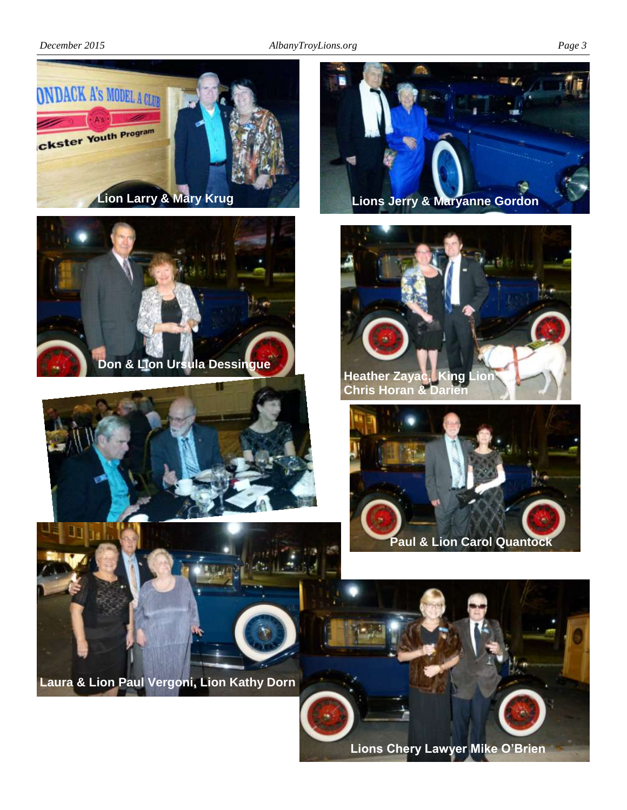

**Lions Chery Lawyer Mike O'Brien**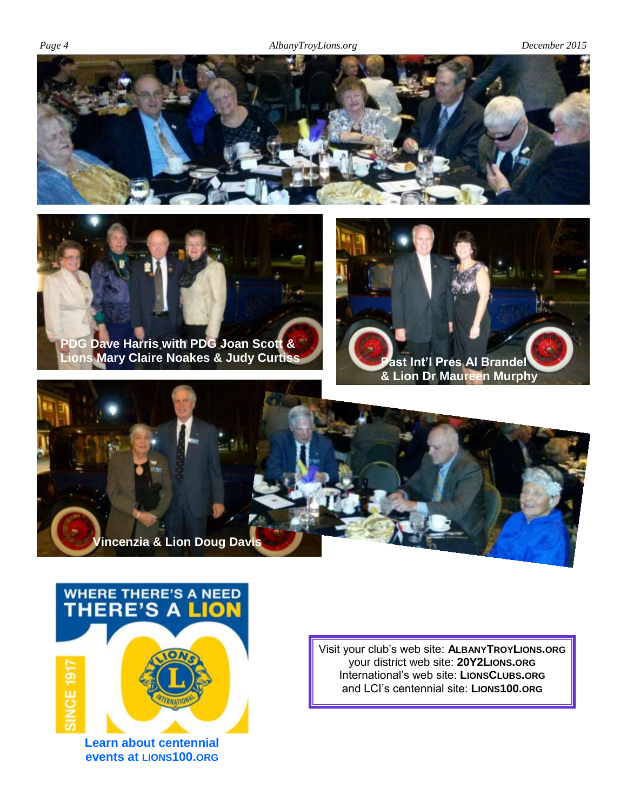



**Lions Mary Claire Noakes & Judy Curtiss Past Int'l Pres Al Brandel** 







**Learn about centennial events at LIONS100.ORG** Visit your club's web site: **ALBANYTROYLIONS.ORG** your district web site: **20Y2LIONS.ORG** International's web site: **LIONSCLUBS.ORG** and LCI's centennial site: **LIONS100.ORG**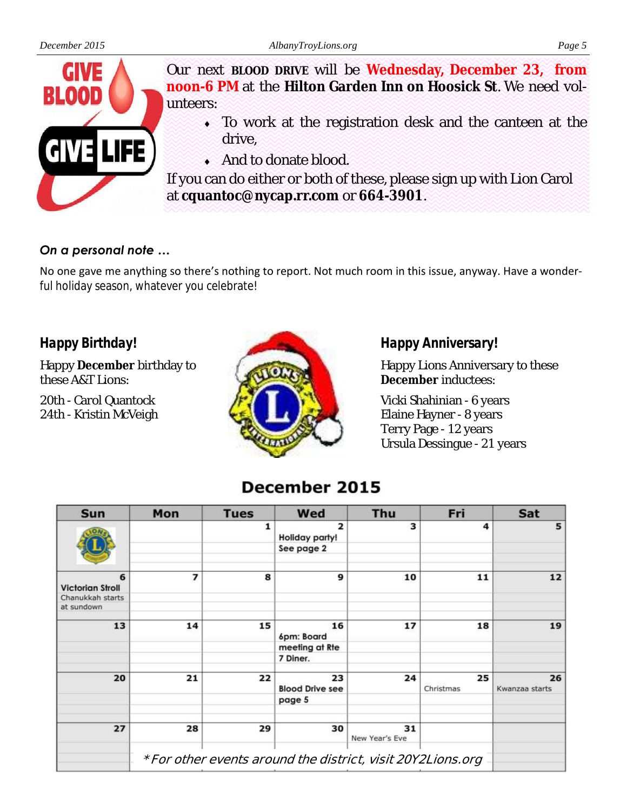

Our next **BLOOD DRIVE** will be **Wednesday, December 23, from noon-6 PM** at the **Hilton Garden Inn on Hoosick St**. We need volunteers:

- To work at the registration desk and the canteen at the drive,
- And to donate blood.

If you can do either or both of these, please sign up with Lion Carol at **cquantoc@nycap.rr.com** or **664-3901**.

# *On a personal note …*

No one gave me anything so there's nothing to report. Not much room in this issue, anyway. Have a wonderful holiday season, whatever you celebrate!

# *Happy Birthday!*

Happy **December** birthday to these A&T Lions:

20th - Carol Quantock 24th - Kristin McVeigh



*Happy Anniversary!*

Happy Lions Anniversary to these **December** inductees:

Vicki Shahinian - 6 years Elaine Hayner - 8 years Terry Page - 12 years Ursula Dessingue - 21 years

# December 2015

| Sun                            | Mon                                                         | <b>Tues</b> | Wed                              | Thu                  | Fri             | Sat                  |
|--------------------------------|-------------------------------------------------------------|-------------|----------------------------------|----------------------|-----------------|----------------------|
|                                |                                                             | 1           | $\overline{2}$<br>Holiday party! | 3                    | 4               | 5                    |
|                                |                                                             |             | See page 2                       |                      |                 |                      |
| 6<br><b>Victorian Stroll</b>   | 7                                                           | 8           | 9                                | 10                   | 11              | 12                   |
| Chanukkah starts<br>at sundown |                                                             |             |                                  |                      |                 |                      |
| 13                             | 14                                                          | 15          | 16<br>6pm: Board                 | 17                   | 18              | 19                   |
|                                |                                                             |             | meeting at Rte                   |                      |                 |                      |
|                                |                                                             |             | 7 Diner.                         |                      |                 |                      |
| 20                             | 21                                                          | 22          | 23<br><b>Blood Drive see</b>     | 24                   | 25<br>Christmas | 26<br>Kwanzaa starts |
|                                |                                                             |             | page 5                           |                      |                 |                      |
| 27                             | 28                                                          | 29          | 30                               | 31<br>New Year's Eve |                 |                      |
|                                | * For other events around the district, visit 20Y2Lions.org |             |                                  |                      |                 |                      |